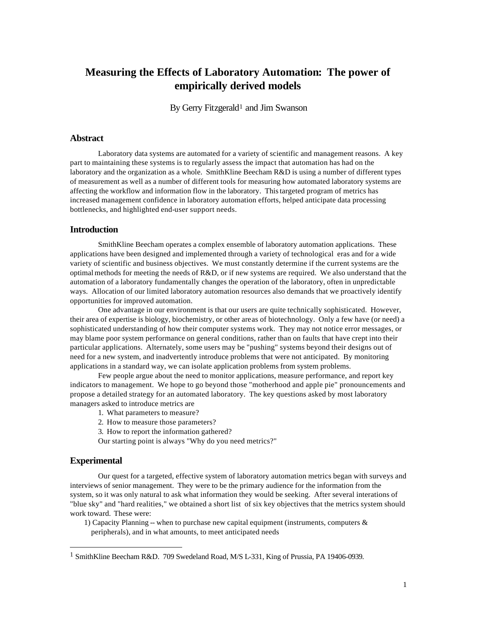# **Measuring the Effects of Laboratory Automation: The power of empirically derived models**

By Gerry Fitzgerald<sup>1</sup> and Jim Swanson

## **Abstract**

Laboratory data systems are automated for a variety of scientific and management reasons. A key part to maintaining these systems is to regularly assess the impact that automation has had on the laboratory and the organization as a whole. SmithKline Beecham R&D is using a number of different types of measurement as well as a number of different tools for measuring how automated laboratory systems are affecting the workflow and information flow in the laboratory. This targeted program of metrics has increased management confidence in laboratory automation efforts, helped anticipate data processing bottlenecks, and highlighted end-user support needs.

### **Introduction**

SmithKline Beecham operates a complex ensemble of laboratory automation applications. These applications have been designed and implemented through a variety of technological eras and for a wide variety of scientific and business objectives. We must constantly determine if the current systems are the optimal methods for meeting the needs of  $R&D$ , or if new systems are required. We also understand that the automation of a laboratory fundamentally changes the operation of the laboratory, often in unpredictable ways. Allocation of our limited laboratory automation resources also demands that we proactively identify opportunities for improved automation.

One advantage in our environment is that our users are quite technically sophisticated. However, their area of expertise is biology, biochemistry, or other areas of biotechnology. Only a few have (or need) a sophisticated understanding of how their computer systems work. They may not notice error messages, or may blame poor system performance on general conditions, rather than on faults that have crept into their particular applications. Alternately, some users may be "pushing" systems beyond their designs out of need for a new system, and inadvertently introduce problems that were not anticipated. By monitoring applications in a standard way, we can isolate application problems from system problems.

Few people argue about the need to monitor applications, measure performance, and report key indicators to management. We hope to go beyond those "motherhood and apple pie" pronouncements and propose a detailed strategy for an automated laboratory. The key questions asked by most laboratory managers asked to introduce metrics are

- 1. What parameters to measure?
- 2. How to measure those parameters?

3. How to report the information gathered?

Our starting point is always "Why do you need metrics?"

#### **Experimental**

l

Our quest for a targeted, effective system of laboratory automation metrics began with surveys and interviews of senior management. They were to be the primary audience for the information from the system, so it was only natural to ask what information they would be seeking. After several interations of "blue sky" and "hard realities," we obtained a short list of six key objectives that the metrics system should work toward. These were:

1) Capacity Planning -- when to purchase new capital equipment (instruments, computers  $\&$ peripherals), and in what amounts, to meet anticipated needs

<sup>1</sup> SmithKline Beecham R&D. 709 Swedeland Road, M/S L-331, King of Prussia, PA 19406-0939.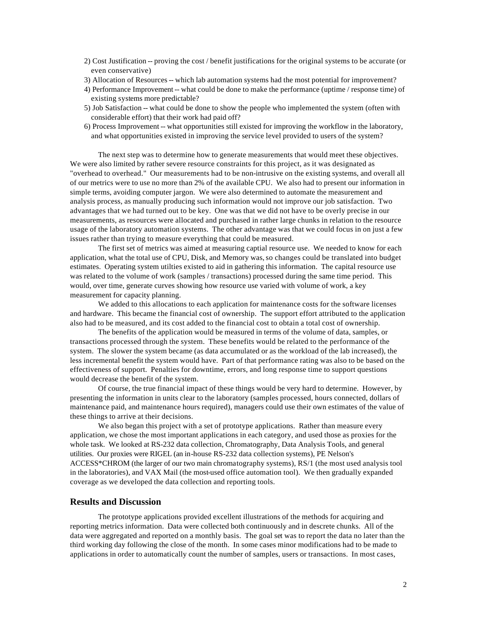- 2) Cost Justification -- proving the cost / benefit justifications for the original systems to be accurate (or even conservative)
- 3) Allocation of Resources -- which lab automation systems had the most potential for improvement?
- 4) Performance Improvement -- what could be done to make the performance (uptime / response time) of existing systems more predictable?
- 5) Job Satisfaction -- what could be done to show the people who implemented the system (often with considerable effort) that their work had paid off?
- 6) Process Improvement -- what opportunities still existed for improving the workflow in the laboratory, and what opportunities existed in improving the service level provided to users of the system?

The next step was to determine how to generate measurements that would meet these objectives. We were also limited by rather severe resource constraints for this project, as it was designated as "overhead to overhead." Our measurements had to be non-intrusive on the existing systems, and overall all of our metrics were to use no more than 2% of the available CPU. We also had to present our information in simple terms, avoiding computer jargon. We were also determined to automate the measurement and analysis process, as manually producing such information would not improve our job satisfaction. Two advantages that we had turned out to be key. One was that we did not have to be overly precise in our measurements, as resources were allocated and purchased in rather large chunks in relation to the resource usage of the laboratory automation systems. The other advantage was that we could focus in on just a few issues rather than trying to measure everything that could be measured.

The first set of metrics was aimed at measuring captial resource use. We needed to know for each application, what the total use of CPU, Disk, and Memory was, so changes could be translated into budget estimates. Operating system utilties existed to aid in gathering this information. The capital resource use was related to the volume of work (samples / transactions) processed during the same time period. This would, over time, generate curves showing how resource use varied with volume of work, a key measurement for capacity planning.

We added to this allocations to each application for maintenance costs for the software licenses and hardware. This became the financial cost of ownership. The support effort attributed to the application also had to be measured, and its cost added to the financial cost to obtain a total cost of ownership.

The benefits of the application would be measured in terms of the volume of data, samples, or transactions processed through the system. These benefits would be related to the performance of the system. The slower the system became (as data accumulated or as the workload of the lab increased), the less incremental benefit the system would have. Part of that performance rating was also to be based on the effectiveness of support. Penalties for downtime, errors, and long response time to support questions would decrease the benefit of the system.

Of course, the true financial impact of these things would be very hard to determine. However, by presenting the information in units clear to the laboratory (samples processed, hours connected, dollars of maintenance paid, and maintenance hours required), managers could use their own estimates of the value of these things to arrive at their decisions.

We also began this project with a set of prototype applications. Rather than measure every application, we chose the most important applications in each category, and used those as proxies for the whole task. We looked at RS-232 data collection, Chromatography, Data Analysis Tools, and general utilities. Our proxies were RIGEL (an in-house RS-232 data collection systems), PE Nelson's ACCESS\*CHROM (the larger of our two main chromatography systems), RS/1 (the most used analysis tool in the laboratories), and VAX Mail (the most-used office automation tool). We then gradually expanded coverage as we developed the data collection and reporting tools.

## **Results and Discussion**

The prototype applications provided excellent illustrations of the methods for acquiring and reporting metrics information. Data were collected both continuously and in descrete chunks. All of the data were aggregated and reported on a monthly basis. The goal set was to report the data no later than the third working day following the close of the month. In some cases minor modifications had to be made to applications in order to automatically count the number of samples, users or transactions. In most cases,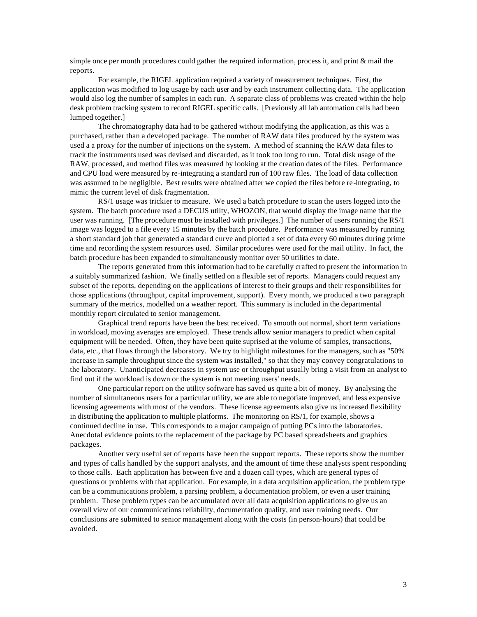simple once per month procedures could gather the required information, process it, and print & mail the reports.

For example, the RIGEL application required a variety of measurement techniques. First, the application was modified to log usage by each user and by each instrument collecting data. The application would also log the number of samples in each run. A separate class of problems was created within the help desk problem tracking system to record RIGEL specific calls. [Previously all lab automation calls had been lumped together.]

The chromatography data had to be gathered without modifying the application, as this was a purchased, rather than a developed package. The number of RAW data files produced by the system was used a a proxy for the number of injections on the system. A method of scanning the RAW data files to track the instruments used was devised and discarded, as it took too long to run. Total disk usage of the RAW, processed, and method files was measured by looking at the creation dates of the files. Performance and CPU load were measured by re-integrating a standard run of 100 raw files. The load of data collection was assumed to be negligible. Best results were obtained after we copied the files before re-integrating, to mimic the current level of disk fragmentation.

RS/1 usage was trickier to measure. We used a batch procedure to scan the users logged into the system. The batch procedure used a DECUS utilty, WHOZON, that would display the image name that the user was running. [The procedure must be installed with privileges.] The number of users running the RS/1 image was logged to a file every 15 minutes by the batch procedure. Performance was measured by running a short standard job that generated a standard curve and plotted a set of data every 60 minutes during prime time and recording the system resources used. Similar procedures were used for the mail utility. In fact, the batch procedure has been expanded to simultaneously monitor over 50 utilities to date.

The reports generated from this information had to be carefully crafted to present the information in a suitably summarized fashion. We finally settled on a flexible set of reports. Managers could request any subset of the reports, depending on the applications of interest to their groups and their responsibilites for those applications (throughput, capital improvement, support). Every month, we produced a two paragraph summary of the metrics, modelled on a weather report. This summary is included in the departmental monthly report circulated to senior management.

Graphical trend reports have been the best received. To smooth out normal, short term variations in workload, moving averages are employed. These trends allow senior managers to predict when capital equipment will be needed. Often, they have been quite suprised at the volume of samples, transactions, data, etc., that flows through the laboratory. We try to highlight milestones for the managers, such as "50% increase in sample throughput since the system was installed," so that they may convey congratulations to the laboratory. Unanticipated decreases in system use or throughput usually bring a visit from an analyst to find out if the workload is down or the system is not meeting users' needs.

One particular report on the utility software has saved us quite a bit of money. By analysing the number of simultaneous users for a particular utility, we are able to negotiate improved, and less expensive licensing agreements with most of the vendors. These license agreements also give us increased flexibility in distributing the application to multiple platforms. The monitoring on RS/1, for example, shows a continued decline in use. This corresponds to a major campaign of putting PCs into the laboratories. Anecdotal evidence points to the replacement of the package by PC based spreadsheets and graphics packages.

Another very useful set of reports have been the support reports. These reports show the number and types of calls handled by the support analysts, and the amount of time these analysts spent responding to those calls. Each application has between five and a dozen call types, which are general types of questions or problems with that application. For example, in a data acquisition application, the problem type can be a communications problem, a parsing problem, a documentation problem, or even a user training problem. These problem types can be accumulated over all data acquisition applications to give us an overall view of our communications reliability, documentation quality, and user training needs. Our conclusions are submitted to senior management along with the costs (in person-hours) that could be avoided.